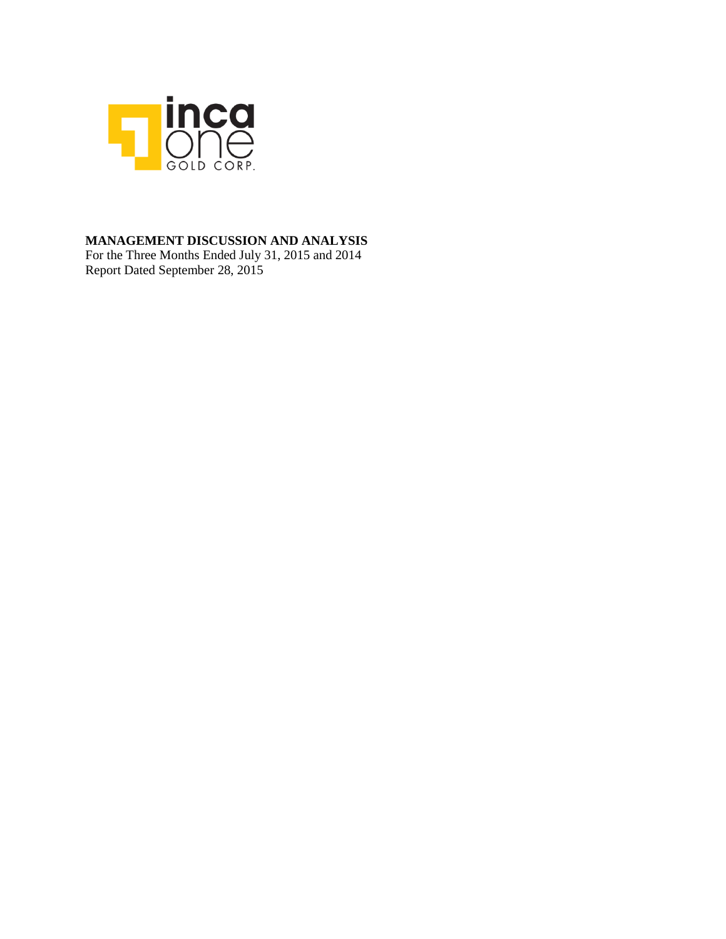

## **MANAGEMENT DISCUSSION AND ANALYSIS**

For the Three Months Ended July 31, 2015 and 2014 Report Dated September 28, 2015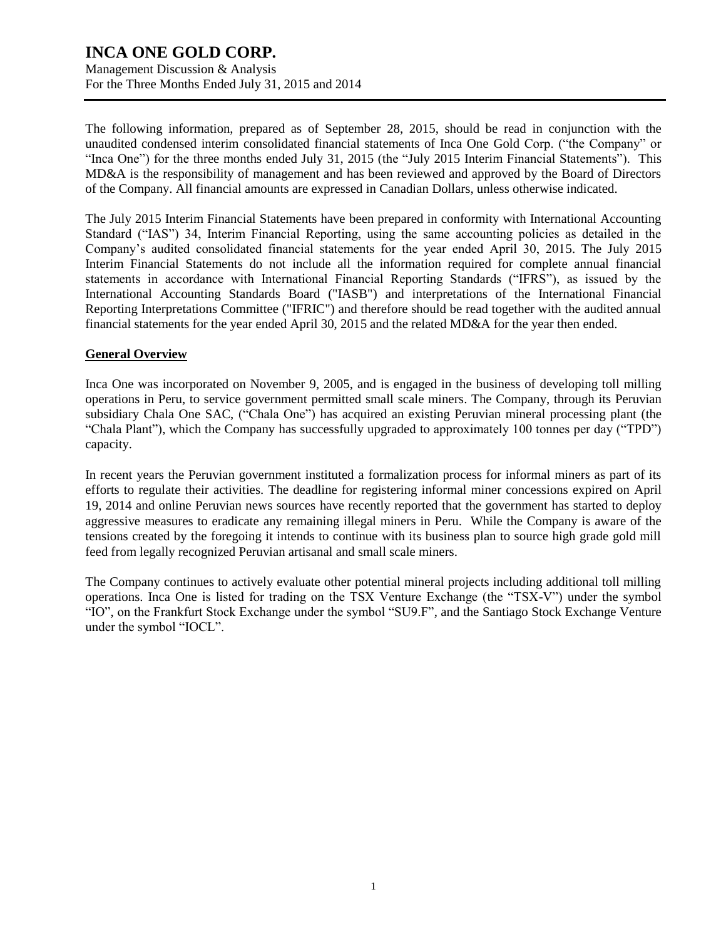Management Discussion & Analysis For the Three Months Ended July 31, 2015 and 2014

The following information, prepared as of September 28, 2015, should be read in conjunction with the unaudited condensed interim consolidated financial statements of Inca One Gold Corp. ("the Company" or "Inca One") for the three months ended July 31, 2015 (the "July 2015 Interim Financial Statements"). This MD&A is the responsibility of management and has been reviewed and approved by the Board of Directors of the Company. All financial amounts are expressed in Canadian Dollars, unless otherwise indicated.

The July 2015 Interim Financial Statements have been prepared in conformity with International Accounting Standard ("IAS") 34, Interim Financial Reporting, using the same accounting policies as detailed in the Company's audited consolidated financial statements for the year ended April 30, 2015. The July 2015 Interim Financial Statements do not include all the information required for complete annual financial statements in accordance with International Financial Reporting Standards ("IFRS"), as issued by the International Accounting Standards Board ("IASB") and interpretations of the International Financial Reporting Interpretations Committee ("IFRIC") and therefore should be read together with the audited annual financial statements for the year ended April 30, 2015 and the related MD&A for the year then ended.

### **General Overview**

Inca One was incorporated on November 9, 2005, and is engaged in the business of developing toll milling operations in Peru, to service government permitted small scale miners. The Company, through its Peruvian subsidiary Chala One SAC, ("Chala One") has acquired an existing Peruvian mineral processing plant (the "Chala Plant"), which the Company has successfully upgraded to approximately 100 tonnes per day ("TPD") capacity.

In recent years the Peruvian government instituted a formalization process for informal miners as part of its efforts to regulate their activities. The deadline for registering informal miner concessions expired on April 19, 2014 and online Peruvian news sources have recently reported that the government has started to deploy aggressive measures to eradicate any remaining illegal miners in Peru. While the Company is aware of the tensions created by the foregoing it intends to continue with its business plan to source high grade gold mill feed from legally recognized Peruvian artisanal and small scale miners.

The Company continues to actively evaluate other potential mineral projects including additional toll milling operations. Inca One is listed for trading on the TSX Venture Exchange (the "TSX-V") under the symbol "IO", on the Frankfurt Stock Exchange under the symbol "SU9.F", and the Santiago Stock Exchange Venture under the symbol "IOCL".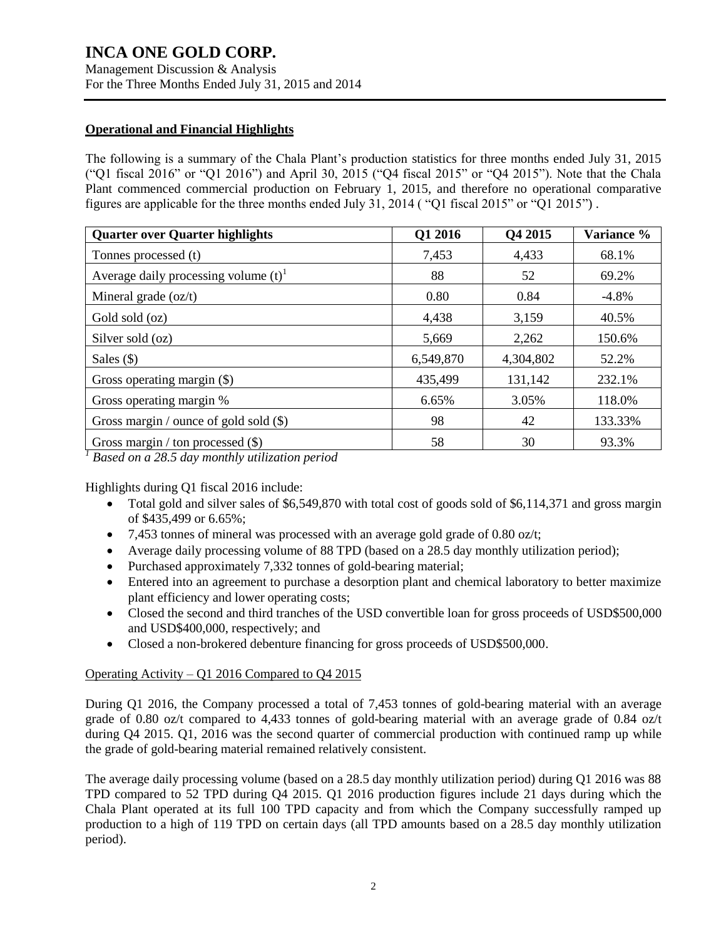Management Discussion & Analysis For the Three Months Ended July 31, 2015 and 2014

### **Operational and Financial Highlights**

The following is a summary of the Chala Plant's production statistics for three months ended July 31, 2015 ("Q1 fiscal 2016" or "Q1 2016") and April 30, 2015 ("Q4 fiscal 2015" or "Q4 2015"). Note that the Chala Plant commenced commercial production on February 1, 2015, and therefore no operational comparative figures are applicable for the three months ended July 31, 2014 ( "Q1 fiscal 2015" or "Q1 2015") .

| <b>Quarter over Quarter highlights</b>             | Q1 2016   | Q4 2015   | Variance % |
|----------------------------------------------------|-----------|-----------|------------|
| Tonnes processed (t)                               | 7,453     | 4,433     | 68.1%      |
| Average daily processing volume $(t)$ <sup>1</sup> | 88        | 52        | 69.2%      |
| Mineral grade $(oz/t)$                             | 0.80      | 0.84      | $-4.8\%$   |
| Gold sold (oz)                                     | 4,438     | 3,159     | 40.5%      |
| Silver sold (oz)                                   | 5,669     | 2,262     | 150.6%     |
| Sales $(\$)$                                       | 6,549,870 | 4,304,802 | 52.2%      |
| Gross operating margin (\$)                        | 435,499   | 131,142   | 232.1%     |
| Gross operating margin %                           | 6.65%     | 3.05%     | 118.0%     |
| Gross margin / ounce of gold sold $(\$)$           | 98        | 42        | 133.33%    |
| Gross margin / ton processed $(\$)$                | 58        | 30        | 93.3%      |

*<sup>1</sup> Based on a 28.5 day monthly utilization period*

Highlights during Q1 fiscal 2016 include:

- Total gold and silver sales of \$6,549,870 with total cost of goods sold of \$6,114,371 and gross margin of \$435,499 or 6.65%;
- 7.453 tonnes of mineral was processed with an average gold grade of 0.80 oz/t;
- Average daily processing volume of 88 TPD (based on a 28.5 day monthly utilization period);
- Purchased approximately 7,332 tonnes of gold-bearing material;
- Entered into an agreement to purchase a desorption plant and chemical laboratory to better maximize plant efficiency and lower operating costs;
- Closed the second and third tranches of the USD convertible loan for gross proceeds of USD\$500,000 and USD\$400,000, respectively; and
- Closed a non-brokered debenture financing for gross proceeds of USD\$500,000.

### Operating Activity – Q1 2016 Compared to Q4 2015

During Q1 2016, the Company processed a total of 7,453 tonnes of gold-bearing material with an average grade of 0.80 oz/t compared to 4,433 tonnes of gold-bearing material with an average grade of 0.84 oz/t during Q4 2015. Q1, 2016 was the second quarter of commercial production with continued ramp up while the grade of gold-bearing material remained relatively consistent.

The average daily processing volume (based on a 28.5 day monthly utilization period) during Q1 2016 was 88 TPD compared to 52 TPD during Q4 2015. Q1 2016 production figures include 21 days during which the Chala Plant operated at its full 100 TPD capacity and from which the Company successfully ramped up production to a high of 119 TPD on certain days (all TPD amounts based on a 28.5 day monthly utilization period).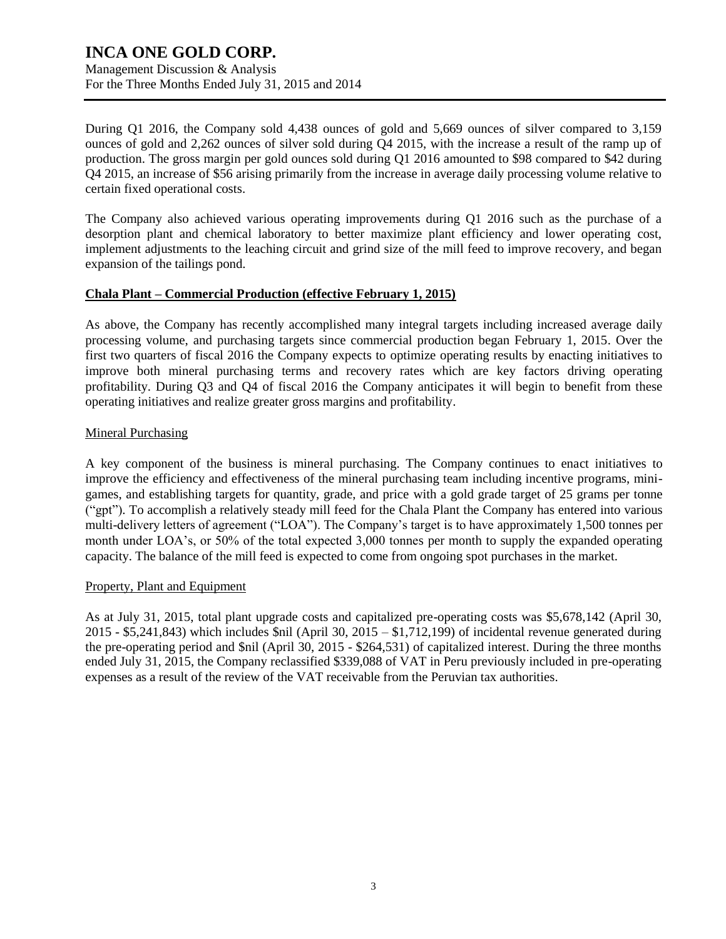Management Discussion & Analysis For the Three Months Ended July 31, 2015 and 2014

During Q1 2016, the Company sold 4,438 ounces of gold and 5,669 ounces of silver compared to 3,159 ounces of gold and 2,262 ounces of silver sold during Q4 2015, with the increase a result of the ramp up of production. The gross margin per gold ounces sold during Q1 2016 amounted to \$98 compared to \$42 during Q4 2015, an increase of \$56 arising primarily from the increase in average daily processing volume relative to certain fixed operational costs.

The Company also achieved various operating improvements during Q1 2016 such as the purchase of a desorption plant and chemical laboratory to better maximize plant efficiency and lower operating cost, implement adjustments to the leaching circuit and grind size of the mill feed to improve recovery, and began expansion of the tailings pond.

### **Chala Plant – Commercial Production (effective February 1, 2015)**

As above, the Company has recently accomplished many integral targets including increased average daily processing volume, and purchasing targets since commercial production began February 1, 2015. Over the first two quarters of fiscal 2016 the Company expects to optimize operating results by enacting initiatives to improve both mineral purchasing terms and recovery rates which are key factors driving operating profitability. During Q3 and Q4 of fiscal 2016 the Company anticipates it will begin to benefit from these operating initiatives and realize greater gross margins and profitability.

### Mineral Purchasing

A key component of the business is mineral purchasing. The Company continues to enact initiatives to improve the efficiency and effectiveness of the mineral purchasing team including incentive programs, minigames, and establishing targets for quantity, grade, and price with a gold grade target of 25 grams per tonne ("gpt"). To accomplish a relatively steady mill feed for the Chala Plant the Company has entered into various multi-delivery letters of agreement ("LOA"). The Company's target is to have approximately 1,500 tonnes per month under LOA's, or 50% of the total expected 3,000 tonnes per month to supply the expanded operating capacity. The balance of the mill feed is expected to come from ongoing spot purchases in the market.

### Property, Plant and Equipment

As at July 31, 2015, total plant upgrade costs and capitalized pre-operating costs was \$5,678,142 (April 30,  $2015 - $5,241,843$ ) which includes \$nil (April 30, 2015 – \$1,712,199) of incidental revenue generated during the pre-operating period and \$nil (April 30, 2015 - \$264,531) of capitalized interest. During the three months ended July 31, 2015, the Company reclassified \$339,088 of VAT in Peru previously included in pre-operating expenses as a result of the review of the VAT receivable from the Peruvian tax authorities.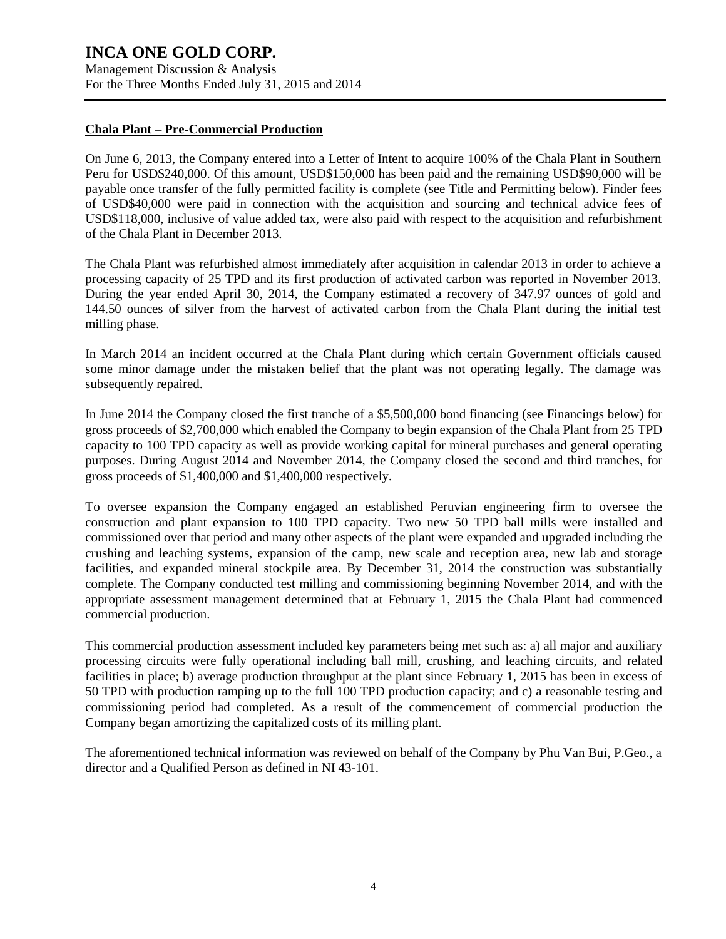Management Discussion & Analysis For the Three Months Ended July 31, 2015 and 2014

### **Chala Plant – Pre-Commercial Production**

On June 6, 2013, the Company entered into a Letter of Intent to acquire 100% of the Chala Plant in Southern Peru for USD\$240,000. Of this amount, USD\$150,000 has been paid and the remaining USD\$90,000 will be payable once transfer of the fully permitted facility is complete (see Title and Permitting below). Finder fees of USD\$40,000 were paid in connection with the acquisition and sourcing and technical advice fees of USD\$118,000, inclusive of value added tax, were also paid with respect to the acquisition and refurbishment of the Chala Plant in December 2013.

The Chala Plant was refurbished almost immediately after acquisition in calendar 2013 in order to achieve a processing capacity of 25 TPD and its first production of activated carbon was reported in November 2013. During the year ended April 30, 2014, the Company estimated a recovery of 347.97 ounces of gold and 144.50 ounces of silver from the harvest of activated carbon from the Chala Plant during the initial test milling phase.

In March 2014 an incident occurred at the Chala Plant during which certain Government officials caused some minor damage under the mistaken belief that the plant was not operating legally. The damage was subsequently repaired.

In June 2014 the Company closed the first tranche of a \$5,500,000 bond financing (see Financings below) for gross proceeds of \$2,700,000 which enabled the Company to begin expansion of the Chala Plant from 25 TPD capacity to 100 TPD capacity as well as provide working capital for mineral purchases and general operating purposes. During August 2014 and November 2014, the Company closed the second and third tranches, for gross proceeds of \$1,400,000 and \$1,400,000 respectively.

To oversee expansion the Company engaged an established Peruvian engineering firm to oversee the construction and plant expansion to 100 TPD capacity. Two new 50 TPD ball mills were installed and commissioned over that period and many other aspects of the plant were expanded and upgraded including the crushing and leaching systems, expansion of the camp, new scale and reception area, new lab and storage facilities, and expanded mineral stockpile area. By December 31, 2014 the construction was substantially complete. The Company conducted test milling and commissioning beginning November 2014, and with the appropriate assessment management determined that at February 1, 2015 the Chala Plant had commenced commercial production.

This commercial production assessment included key parameters being met such as: a) all major and auxiliary processing circuits were fully operational including ball mill, crushing, and leaching circuits, and related facilities in place; b) average production throughput at the plant since February 1, 2015 has been in excess of 50 TPD with production ramping up to the full 100 TPD production capacity; and c) a reasonable testing and commissioning period had completed. As a result of the commencement of commercial production the Company began amortizing the capitalized costs of its milling plant.

The aforementioned technical information was reviewed on behalf of the Company by Phu Van Bui, P.Geo., a director and a Qualified Person as defined in NI 43-101.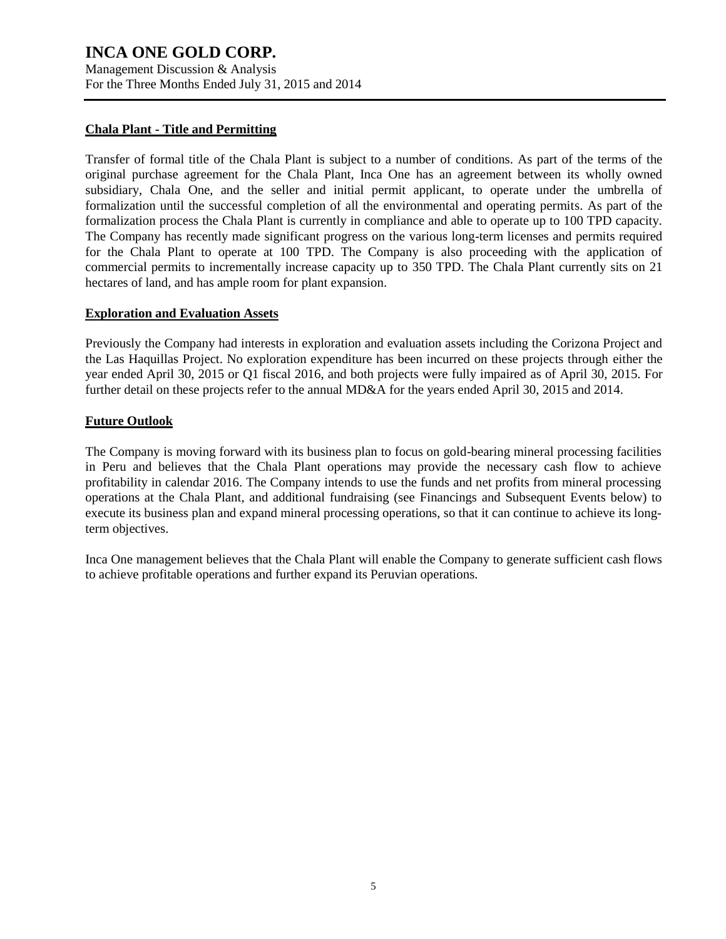Management Discussion & Analysis For the Three Months Ended July 31, 2015 and 2014

### **Chala Plant - Title and Permitting**

Transfer of formal title of the Chala Plant is subject to a number of conditions. As part of the terms of the original purchase agreement for the Chala Plant, Inca One has an agreement between its wholly owned subsidiary, Chala One, and the seller and initial permit applicant, to operate under the umbrella of formalization until the successful completion of all the environmental and operating permits. As part of the formalization process the Chala Plant is currently in compliance and able to operate up to 100 TPD capacity. The Company has recently made significant progress on the various long-term licenses and permits required for the Chala Plant to operate at 100 TPD. The Company is also proceeding with the application of commercial permits to incrementally increase capacity up to 350 TPD. The Chala Plant currently sits on 21 hectares of land, and has ample room for plant expansion.

### **Exploration and Evaluation Assets**

Previously the Company had interests in exploration and evaluation assets including the Corizona Project and the Las Haquillas Project. No exploration expenditure has been incurred on these projects through either the year ended April 30, 2015 or Q1 fiscal 2016, and both projects were fully impaired as of April 30, 2015. For further detail on these projects refer to the annual MD&A for the years ended April 30, 2015 and 2014.

## **Future Outlook**

The Company is moving forward with its business plan to focus on gold-bearing mineral processing facilities in Peru and believes that the Chala Plant operations may provide the necessary cash flow to achieve profitability in calendar 2016. The Company intends to use the funds and net profits from mineral processing operations at the Chala Plant, and additional fundraising (see Financings and Subsequent Events below) to execute its business plan and expand mineral processing operations, so that it can continue to achieve its longterm objectives.

Inca One management believes that the Chala Plant will enable the Company to generate sufficient cash flows to achieve profitable operations and further expand its Peruvian operations.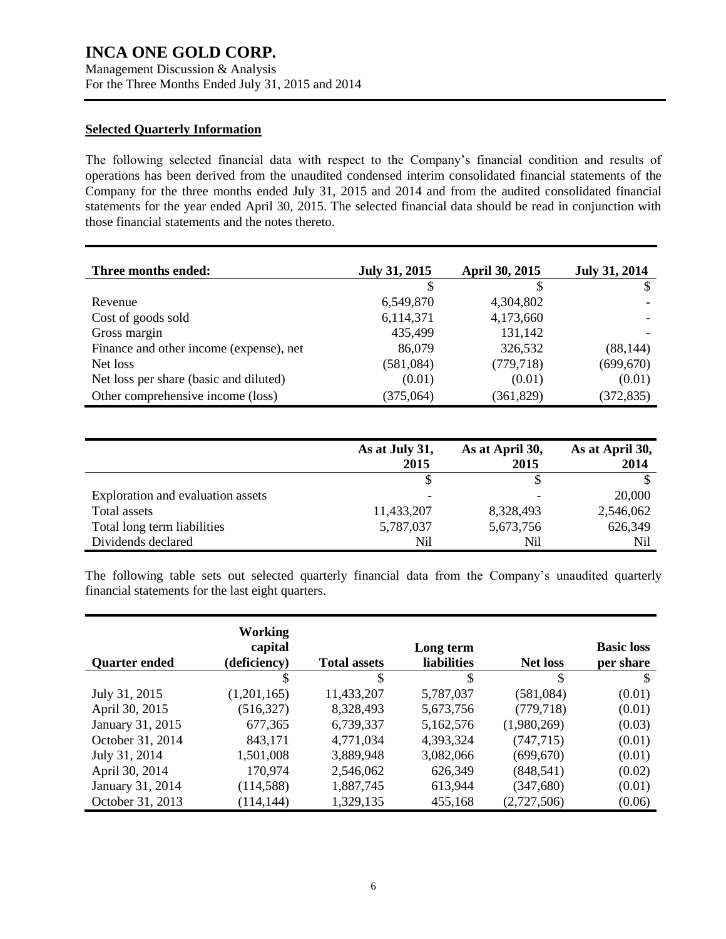Management Discussion & Analysis For the Three Months Ended July 31, 2015 and 2014

### **Selected Quarterly Information**

The following selected financial data with respect to the Company's financial condition and results of operations has been derived from the unaudited condensed interim consolidated financial statements of the Company for the three months ended July 31, 2015 and 2014 and from the audited consolidated financial statements for the year ended April 30, 2015. The selected financial data should be read in conjunction with those financial statements and the notes thereto.

| Three months ended:                     | <b>July 31, 2015</b> | April 30, 2015 | <b>July 31, 2014</b> |
|-----------------------------------------|----------------------|----------------|----------------------|
|                                         |                      |                |                      |
| Revenue                                 | 6,549,870            | 4,304,802      |                      |
| Cost of goods sold                      | 6,114,371            | 4,173,660      |                      |
| Gross margin                            | 435,499              | 131,142        |                      |
| Finance and other income (expense), net | 86,079               | 326,532        | (88, 144)            |
| Net loss                                | (581,084)            | (779, 718)     | (699, 670)           |
| Net loss per share (basic and diluted)  | (0.01)               | (0.01)         | (0.01)               |
| Other comprehensive income (loss)       | (375,064)            | (361, 829)     | (372, 835)           |

|                                   | As at July 31,<br>2015 | As at April 30,<br>2015 | As at April 30,<br>2014 |
|-----------------------------------|------------------------|-------------------------|-------------------------|
|                                   |                        |                         |                         |
| Exploration and evaluation assets |                        |                         | 20,000                  |
| Total assets                      | 11,433,207             | 8,328,493               | 2,546,062               |
| Total long term liabilities       | 5,787,037              | 5,673,756               | 626,349                 |
| Dividends declared                | Nil                    | Nil                     | Nil                     |

The following table sets out selected quarterly financial data from the Company's unaudited quarterly financial statements for the last eight quarters.

|                      | <b>Working</b><br>capital |                     | Long term          |                 | <b>Basic loss</b> |
|----------------------|---------------------------|---------------------|--------------------|-----------------|-------------------|
| <b>Quarter ended</b> | (deficiency)              | <b>Total assets</b> | <b>liabilities</b> | <b>Net loss</b> | per share         |
|                      | S                         | \$                  | S                  | S               | S                 |
| July 31, 2015        | (1,201,165)               | 11,433,207          | 5,787,037          | (581,084)       | (0.01)            |
| April 30, 2015       | (516, 327)                | 8,328,493           | 5,673,756          | (779, 718)      | (0.01)            |
| January 31, 2015     | 677,365                   | 6,739,337           | 5,162,576          | (1,980,269)     | (0.03)            |
| October 31, 2014     | 843,171                   | 4,771,034           | 4,393,324          | (747, 715)      | (0.01)            |
| July 31, 2014        | 1,501,008                 | 3,889,948           | 3,082,066          | (699, 670)      | (0.01)            |
| April 30, 2014       | 170,974                   | 2,546,062           | 626,349            | (848, 541)      | (0.02)            |
| January 31, 2014     | (114, 588)                | 1,887,745           | 613,944            | (347,680)       | (0.01)            |
| October 31, 2013     | (114, 144)                | 1,329,135           | 455,168            | (2,727,506)     | (0.06)            |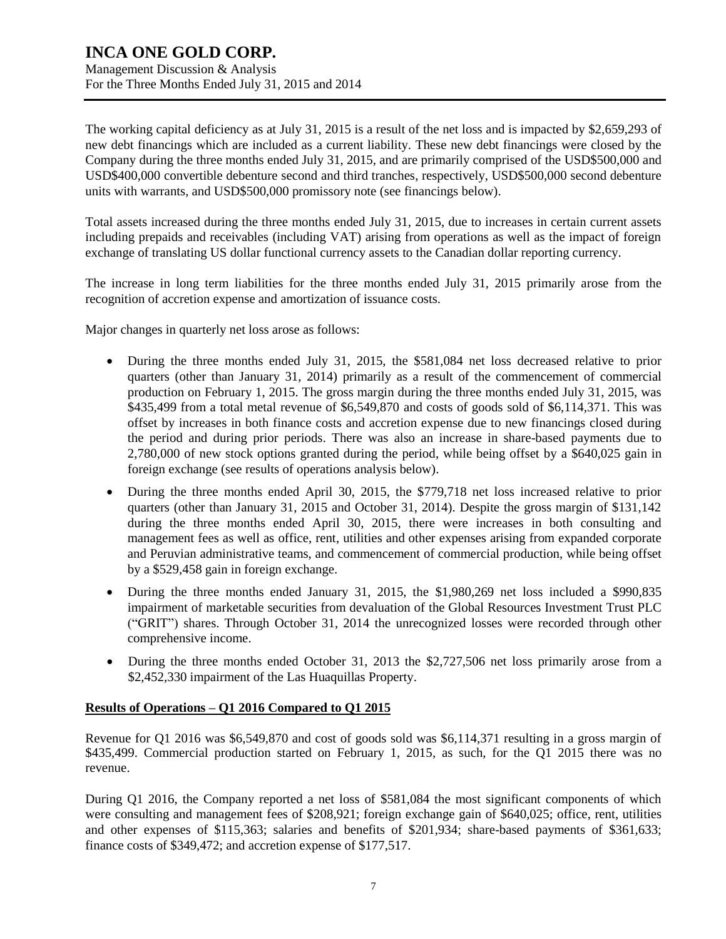Management Discussion & Analysis For the Three Months Ended July 31, 2015 and 2014

The working capital deficiency as at July 31, 2015 is a result of the net loss and is impacted by \$2,659,293 of new debt financings which are included as a current liability. These new debt financings were closed by the Company during the three months ended July 31, 2015, and are primarily comprised of the USD\$500,000 and USD\$400,000 convertible debenture second and third tranches, respectively, USD\$500,000 second debenture units with warrants, and USD\$500,000 promissory note (see financings below).

Total assets increased during the three months ended July 31, 2015, due to increases in certain current assets including prepaids and receivables (including VAT) arising from operations as well as the impact of foreign exchange of translating US dollar functional currency assets to the Canadian dollar reporting currency.

The increase in long term liabilities for the three months ended July 31, 2015 primarily arose from the recognition of accretion expense and amortization of issuance costs.

Major changes in quarterly net loss arose as follows:

- During the three months ended July 31, 2015, the \$581,084 net loss decreased relative to prior quarters (other than January 31, 2014) primarily as a result of the commencement of commercial production on February 1, 2015. The gross margin during the three months ended July 31, 2015, was \$435,499 from a total metal revenue of \$6,549,870 and costs of goods sold of \$6,114,371. This was offset by increases in both finance costs and accretion expense due to new financings closed during the period and during prior periods. There was also an increase in share-based payments due to 2,780,000 of new stock options granted during the period, while being offset by a \$640,025 gain in foreign exchange (see results of operations analysis below).
- During the three months ended April 30, 2015, the \$779,718 net loss increased relative to prior quarters (other than January 31, 2015 and October 31, 2014). Despite the gross margin of \$131,142 during the three months ended April 30, 2015, there were increases in both consulting and management fees as well as office, rent, utilities and other expenses arising from expanded corporate and Peruvian administrative teams, and commencement of commercial production, while being offset by a \$529,458 gain in foreign exchange.
- During the three months ended January 31, 2015, the \$1,980,269 net loss included a \$990,835 impairment of marketable securities from devaluation of the Global Resources Investment Trust PLC ("GRIT") shares. Through October 31, 2014 the unrecognized losses were recorded through other comprehensive income.
- During the three months ended October 31, 2013 the \$2,727,506 net loss primarily arose from a \$2,452,330 impairment of the Las Huaquillas Property.

## **Results of Operations – Q1 2016 Compared to Q1 2015**

Revenue for Q1 2016 was \$6,549,870 and cost of goods sold was \$6,114,371 resulting in a gross margin of \$435,499. Commercial production started on February 1, 2015, as such, for the Q1 2015 there was no revenue.

During Q1 2016, the Company reported a net loss of \$581,084 the most significant components of which were consulting and management fees of \$208,921; foreign exchange gain of \$640,025; office, rent, utilities and other expenses of \$115,363; salaries and benefits of \$201,934; share-based payments of \$361,633; finance costs of \$349,472; and accretion expense of \$177,517.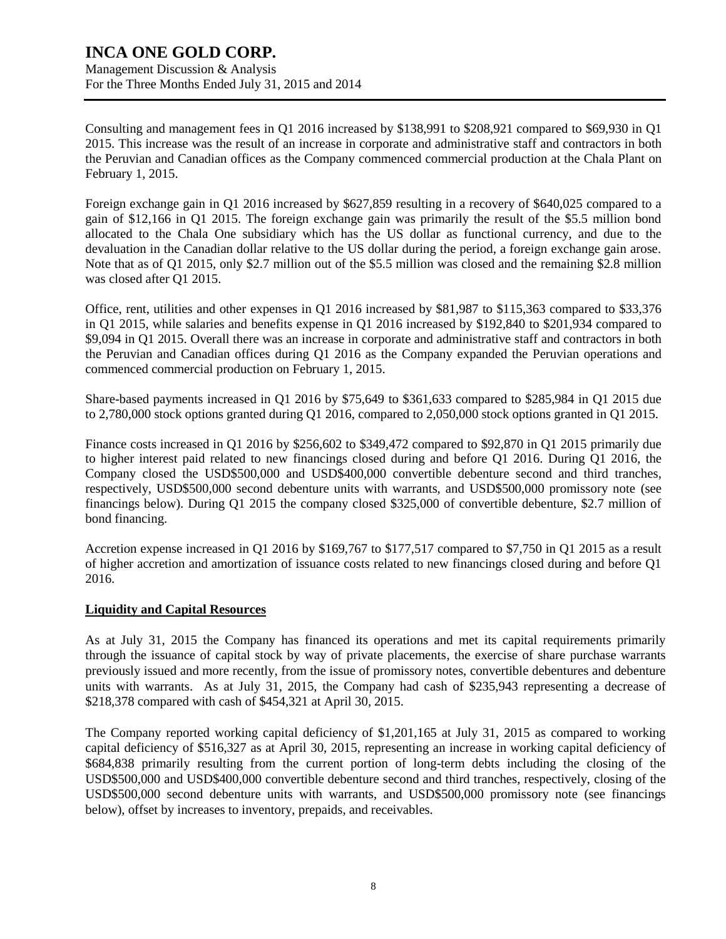Management Discussion & Analysis For the Three Months Ended July 31, 2015 and 2014

Consulting and management fees in Q1 2016 increased by \$138,991 to \$208,921 compared to \$69,930 in Q1 2015. This increase was the result of an increase in corporate and administrative staff and contractors in both the Peruvian and Canadian offices as the Company commenced commercial production at the Chala Plant on February 1, 2015.

Foreign exchange gain in Q1 2016 increased by \$627,859 resulting in a recovery of \$640,025 compared to a gain of \$12,166 in Q1 2015. The foreign exchange gain was primarily the result of the \$5.5 million bond allocated to the Chala One subsidiary which has the US dollar as functional currency, and due to the devaluation in the Canadian dollar relative to the US dollar during the period, a foreign exchange gain arose. Note that as of Q1 2015, only \$2.7 million out of the \$5.5 million was closed and the remaining \$2.8 million was closed after Q1 2015.

Office, rent, utilities and other expenses in Q1 2016 increased by \$81,987 to \$115,363 compared to \$33,376 in Q1 2015, while salaries and benefits expense in Q1 2016 increased by \$192,840 to \$201,934 compared to \$9,094 in Q1 2015. Overall there was an increase in corporate and administrative staff and contractors in both the Peruvian and Canadian offices during Q1 2016 as the Company expanded the Peruvian operations and commenced commercial production on February 1, 2015.

Share-based payments increased in Q1 2016 by \$75,649 to \$361,633 compared to \$285,984 in Q1 2015 due to 2,780,000 stock options granted during Q1 2016, compared to 2,050,000 stock options granted in Q1 2015.

Finance costs increased in Q1 2016 by \$256,602 to \$349,472 compared to \$92,870 in Q1 2015 primarily due to higher interest paid related to new financings closed during and before Q1 2016. During Q1 2016, the Company closed the USD\$500,000 and USD\$400,000 convertible debenture second and third tranches, respectively, USD\$500,000 second debenture units with warrants, and USD\$500,000 promissory note (see financings below). During Q1 2015 the company closed \$325,000 of convertible debenture, \$2.7 million of bond financing.

Accretion expense increased in Q1 2016 by \$169,767 to \$177,517 compared to \$7,750 in Q1 2015 as a result of higher accretion and amortization of issuance costs related to new financings closed during and before Q1 2016.

## **Liquidity and Capital Resources**

As at July 31, 2015 the Company has financed its operations and met its capital requirements primarily through the issuance of capital stock by way of private placements, the exercise of share purchase warrants previously issued and more recently, from the issue of promissory notes, convertible debentures and debenture units with warrants. As at July 31, 2015, the Company had cash of \$235,943 representing a decrease of \$218,378 compared with cash of \$454,321 at April 30, 2015.

The Company reported working capital deficiency of \$1,201,165 at July 31, 2015 as compared to working capital deficiency of \$516,327 as at April 30, 2015, representing an increase in working capital deficiency of \$684,838 primarily resulting from the current portion of long-term debts including the closing of the USD\$500,000 and USD\$400,000 convertible debenture second and third tranches, respectively, closing of the USD\$500,000 second debenture units with warrants, and USD\$500,000 promissory note (see financings below), offset by increases to inventory, prepaids, and receivables.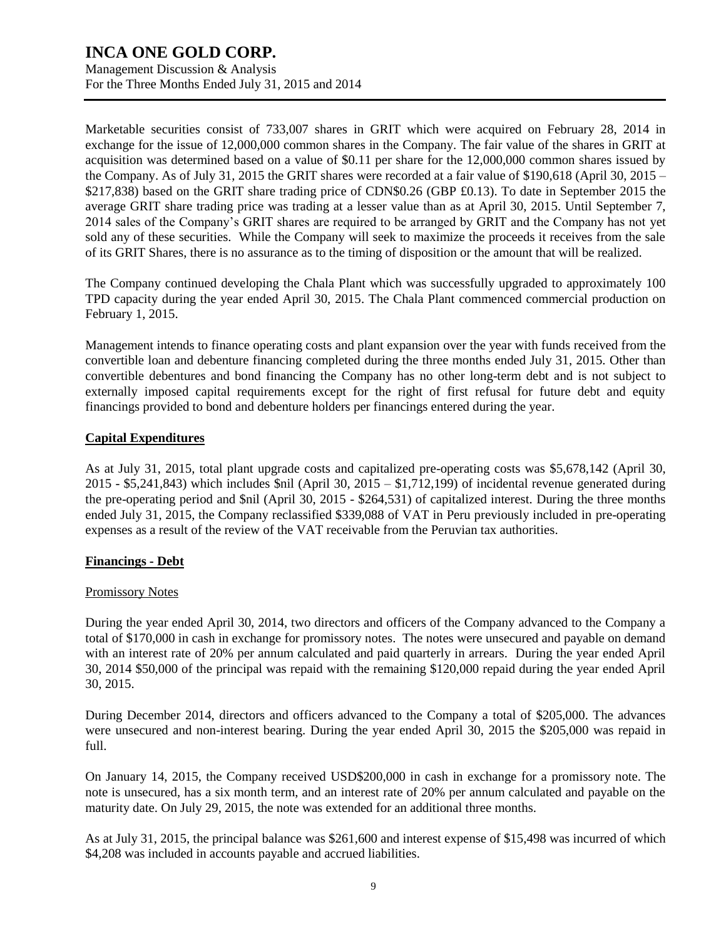Management Discussion & Analysis For the Three Months Ended July 31, 2015 and 2014

Marketable securities consist of 733,007 shares in GRIT which were acquired on February 28, 2014 in exchange for the issue of 12,000,000 common shares in the Company. The fair value of the shares in GRIT at acquisition was determined based on a value of \$0.11 per share for the 12,000,000 common shares issued by the Company. As of July 31, 2015 the GRIT shares were recorded at a fair value of \$190,618 (April 30, 2015 – \$217,838) based on the GRIT share trading price of CDN\$0.26 (GBP £0.13). To date in September 2015 the average GRIT share trading price was trading at a lesser value than as at April 30, 2015. Until September 7, 2014 sales of the Company's GRIT shares are required to be arranged by GRIT and the Company has not yet sold any of these securities. While the Company will seek to maximize the proceeds it receives from the sale of its GRIT Shares, there is no assurance as to the timing of disposition or the amount that will be realized.

The Company continued developing the Chala Plant which was successfully upgraded to approximately 100 TPD capacity during the year ended April 30, 2015. The Chala Plant commenced commercial production on February 1, 2015.

Management intends to finance operating costs and plant expansion over the year with funds received from the convertible loan and debenture financing completed during the three months ended July 31, 2015. Other than convertible debentures and bond financing the Company has no other long-term debt and is not subject to externally imposed capital requirements except for the right of first refusal for future debt and equity financings provided to bond and debenture holders per financings entered during the year.

### **Capital Expenditures**

As at July 31, 2015, total plant upgrade costs and capitalized pre-operating costs was \$5,678,142 (April 30,  $2015 - $5,241,843$ ) which includes \$nil (April 30,  $2015 - $1,712,199$ ) of incidental revenue generated during the pre-operating period and \$nil (April 30, 2015 - \$264,531) of capitalized interest. During the three months ended July 31, 2015, the Company reclassified \$339,088 of VAT in Peru previously included in pre-operating expenses as a result of the review of the VAT receivable from the Peruvian tax authorities.

### **Financings - Debt**

### Promissory Notes

During the year ended April 30, 2014, two directors and officers of the Company advanced to the Company a total of \$170,000 in cash in exchange for promissory notes. The notes were unsecured and payable on demand with an interest rate of 20% per annum calculated and paid quarterly in arrears. During the year ended April 30, 2014 \$50,000 of the principal was repaid with the remaining \$120,000 repaid during the year ended April 30, 2015.

During December 2014, directors and officers advanced to the Company a total of \$205,000. The advances were unsecured and non-interest bearing. During the year ended April 30, 2015 the \$205,000 was repaid in full.

On January 14, 2015, the Company received USD\$200,000 in cash in exchange for a promissory note. The note is unsecured, has a six month term, and an interest rate of 20% per annum calculated and payable on the maturity date. On July 29, 2015, the note was extended for an additional three months.

As at July 31, 2015, the principal balance was \$261,600 and interest expense of \$15,498 was incurred of which \$4,208 was included in accounts payable and accrued liabilities.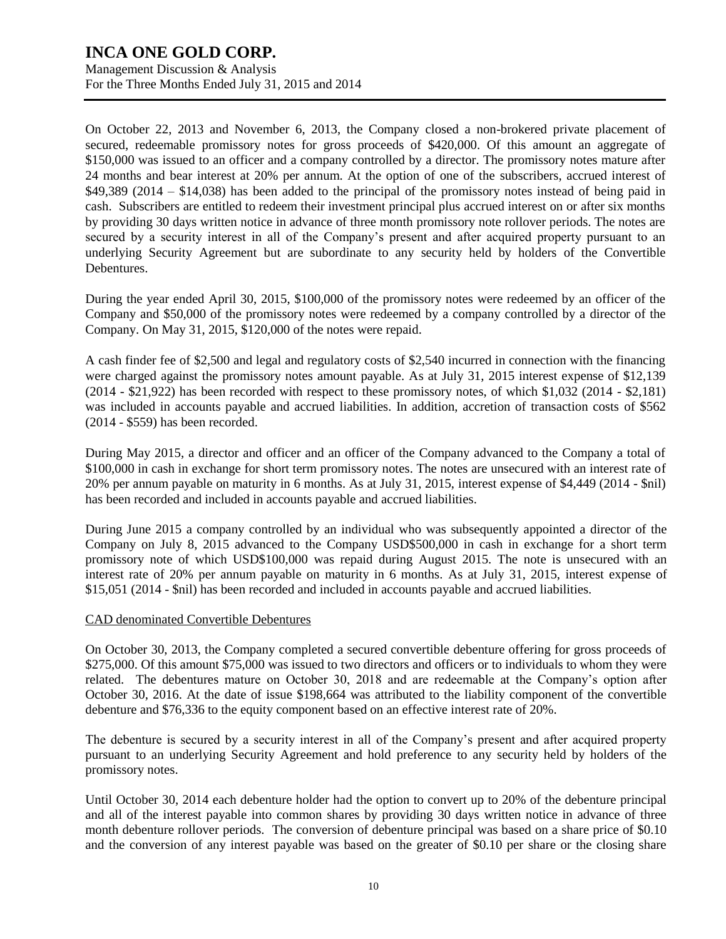Management Discussion & Analysis For the Three Months Ended July 31, 2015 and 2014

On October 22, 2013 and November 6, 2013, the Company closed a non-brokered private placement of secured, redeemable promissory notes for gross proceeds of \$420,000. Of this amount an aggregate of \$150,000 was issued to an officer and a company controlled by a director. The promissory notes mature after 24 months and bear interest at 20% per annum. At the option of one of the subscribers, accrued interest of \$49,389 (2014 – \$14,038) has been added to the principal of the promissory notes instead of being paid in cash. Subscribers are entitled to redeem their investment principal plus accrued interest on or after six months by providing 30 days written notice in advance of three month promissory note rollover periods. The notes are secured by a security interest in all of the Company's present and after acquired property pursuant to an underlying Security Agreement but are subordinate to any security held by holders of the Convertible Debentures.

During the year ended April 30, 2015, \$100,000 of the promissory notes were redeemed by an officer of the Company and \$50,000 of the promissory notes were redeemed by a company controlled by a director of the Company. On May 31, 2015, \$120,000 of the notes were repaid.

A cash finder fee of \$2,500 and legal and regulatory costs of \$2,540 incurred in connection with the financing were charged against the promissory notes amount payable. As at July 31, 2015 interest expense of \$12,139 (2014 - \$21,922) has been recorded with respect to these promissory notes, of which \$1,032 (2014 - \$2,181) was included in accounts payable and accrued liabilities. In addition, accretion of transaction costs of \$562 (2014 - \$559) has been recorded.

During May 2015, a director and officer and an officer of the Company advanced to the Company a total of \$100,000 in cash in exchange for short term promissory notes. The notes are unsecured with an interest rate of 20% per annum payable on maturity in 6 months. As at July 31, 2015, interest expense of \$4,449 (2014 - \$nil) has been recorded and included in accounts payable and accrued liabilities.

During June 2015 a company controlled by an individual who was subsequently appointed a director of the Company on July 8, 2015 advanced to the Company USD\$500,000 in cash in exchange for a short term promissory note of which USD\$100,000 was repaid during August 2015. The note is unsecured with an interest rate of 20% per annum payable on maturity in 6 months. As at July 31, 2015, interest expense of \$15,051 (2014 - \$nil) has been recorded and included in accounts payable and accrued liabilities.

### CAD denominated Convertible Debentures

On October 30, 2013, the Company completed a secured convertible debenture offering for gross proceeds of \$275,000. Of this amount \$75,000 was issued to two directors and officers or to individuals to whom they were related. The debentures mature on October 30, 2018 and are redeemable at the Company's option after October 30, 2016. At the date of issue \$198,664 was attributed to the liability component of the convertible debenture and \$76,336 to the equity component based on an effective interest rate of 20%.

The debenture is secured by a security interest in all of the Company's present and after acquired property pursuant to an underlying Security Agreement and hold preference to any security held by holders of the promissory notes.

Until October 30, 2014 each debenture holder had the option to convert up to 20% of the debenture principal and all of the interest payable into common shares by providing 30 days written notice in advance of three month debenture rollover periods. The conversion of debenture principal was based on a share price of \$0.10 and the conversion of any interest payable was based on the greater of \$0.10 per share or the closing share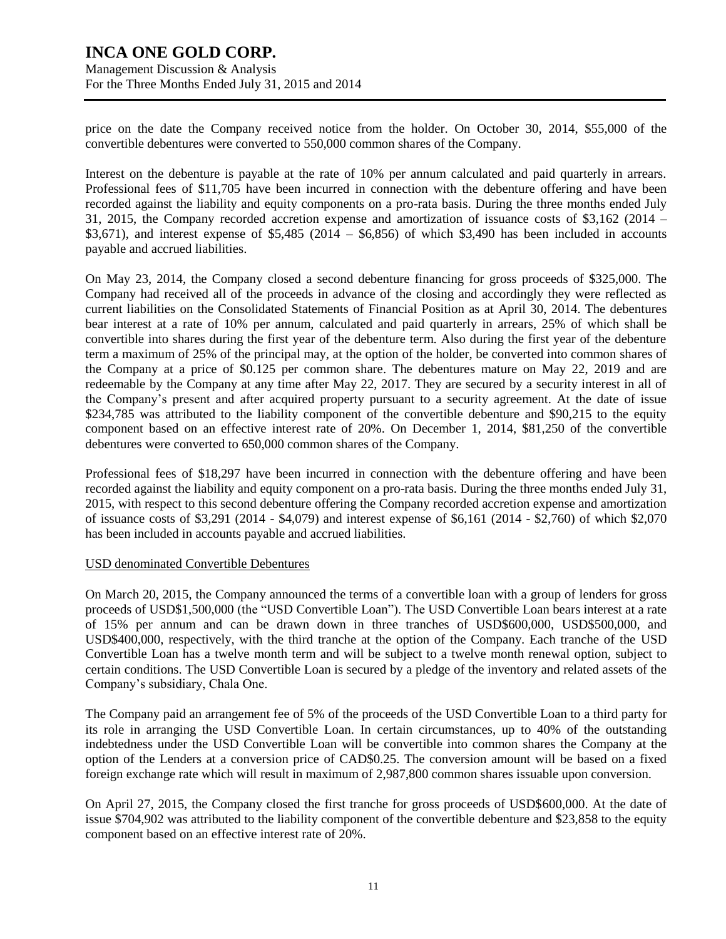Management Discussion & Analysis For the Three Months Ended July 31, 2015 and 2014

price on the date the Company received notice from the holder. On October 30, 2014, \$55,000 of the convertible debentures were converted to 550,000 common shares of the Company.

Interest on the debenture is payable at the rate of 10% per annum calculated and paid quarterly in arrears. Professional fees of \$11,705 have been incurred in connection with the debenture offering and have been recorded against the liability and equity components on a pro-rata basis. During the three months ended July 31, 2015, the Company recorded accretion expense and amortization of issuance costs of \$3,162 (2014 –  $$3,671$ ), and interest expense of  $$5,485$  (2014 –  $$6,856$ ) of which  $$3,490$  has been included in accounts payable and accrued liabilities.

On May 23, 2014, the Company closed a second debenture financing for gross proceeds of \$325,000. The Company had received all of the proceeds in advance of the closing and accordingly they were reflected as current liabilities on the Consolidated Statements of Financial Position as at April 30, 2014. The debentures bear interest at a rate of 10% per annum, calculated and paid quarterly in arrears, 25% of which shall be convertible into shares during the first year of the debenture term. Also during the first year of the debenture term a maximum of 25% of the principal may, at the option of the holder, be converted into common shares of the Company at a price of \$0.125 per common share. The debentures mature on May 22, 2019 and are redeemable by the Company at any time after May 22, 2017. They are secured by a security interest in all of the Company's present and after acquired property pursuant to a security agreement. At the date of issue \$234,785 was attributed to the liability component of the convertible debenture and \$90,215 to the equity component based on an effective interest rate of 20%. On December 1, 2014, \$81,250 of the convertible debentures were converted to 650,000 common shares of the Company.

Professional fees of \$18,297 have been incurred in connection with the debenture offering and have been recorded against the liability and equity component on a pro-rata basis. During the three months ended July 31, 2015, with respect to this second debenture offering the Company recorded accretion expense and amortization of issuance costs of \$3,291 (2014 - \$4,079) and interest expense of \$6,161 (2014 - \$2,760) of which \$2,070 has been included in accounts payable and accrued liabilities.

#### USD denominated Convertible Debentures

On March 20, 2015, the Company announced the terms of a convertible loan with a group of lenders for gross proceeds of USD\$1,500,000 (the "USD Convertible Loan"). The USD Convertible Loan bears interest at a rate of 15% per annum and can be drawn down in three tranches of USD\$600,000, USD\$500,000, and USD\$400,000, respectively, with the third tranche at the option of the Company. Each tranche of the USD Convertible Loan has a twelve month term and will be subject to a twelve month renewal option, subject to certain conditions. The USD Convertible Loan is secured by a pledge of the inventory and related assets of the Company's subsidiary, Chala One.

The Company paid an arrangement fee of 5% of the proceeds of the USD Convertible Loan to a third party for its role in arranging the USD Convertible Loan. In certain circumstances, up to 40% of the outstanding indebtedness under the USD Convertible Loan will be convertible into common shares the Company at the option of the Lenders at a conversion price of CAD\$0.25. The conversion amount will be based on a fixed foreign exchange rate which will result in maximum of 2,987,800 common shares issuable upon conversion.

On April 27, 2015, the Company closed the first tranche for gross proceeds of USD\$600,000. At the date of issue \$704,902 was attributed to the liability component of the convertible debenture and \$23,858 to the equity component based on an effective interest rate of 20%.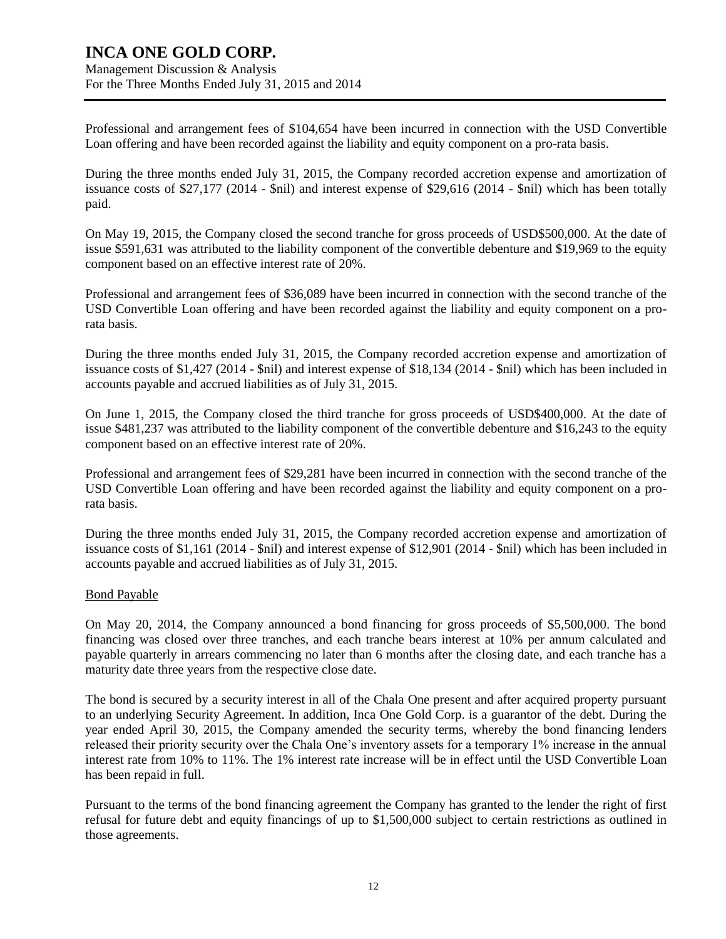Management Discussion & Analysis For the Three Months Ended July 31, 2015 and 2014

Professional and arrangement fees of \$104,654 have been incurred in connection with the USD Convertible Loan offering and have been recorded against the liability and equity component on a pro-rata basis.

During the three months ended July 31, 2015, the Company recorded accretion expense and amortization of issuance costs of \$27,177 (2014 - \$nil) and interest expense of \$29,616 (2014 - \$nil) which has been totally paid.

On May 19, 2015, the Company closed the second tranche for gross proceeds of USD\$500,000. At the date of issue \$591,631 was attributed to the liability component of the convertible debenture and \$19,969 to the equity component based on an effective interest rate of 20%.

Professional and arrangement fees of \$36,089 have been incurred in connection with the second tranche of the USD Convertible Loan offering and have been recorded against the liability and equity component on a prorata basis.

During the three months ended July 31, 2015, the Company recorded accretion expense and amortization of issuance costs of \$1,427 (2014 - \$nil) and interest expense of \$18,134 (2014 - \$nil) which has been included in accounts payable and accrued liabilities as of July 31, 2015.

On June 1, 2015, the Company closed the third tranche for gross proceeds of USD\$400,000. At the date of issue \$481,237 was attributed to the liability component of the convertible debenture and \$16,243 to the equity component based on an effective interest rate of 20%.

Professional and arrangement fees of \$29,281 have been incurred in connection with the second tranche of the USD Convertible Loan offering and have been recorded against the liability and equity component on a prorata basis.

During the three months ended July 31, 2015, the Company recorded accretion expense and amortization of issuance costs of \$1,161 (2014 - \$nil) and interest expense of \$12,901 (2014 - \$nil) which has been included in accounts payable and accrued liabilities as of July 31, 2015.

### Bond Payable

On May 20, 2014, the Company announced a bond financing for gross proceeds of \$5,500,000. The bond financing was closed over three tranches, and each tranche bears interest at 10% per annum calculated and payable quarterly in arrears commencing no later than 6 months after the closing date, and each tranche has a maturity date three years from the respective close date.

The bond is secured by a security interest in all of the Chala One present and after acquired property pursuant to an underlying Security Agreement. In addition, Inca One Gold Corp. is a guarantor of the debt. During the year ended April 30, 2015, the Company amended the security terms, whereby the bond financing lenders released their priority security over the Chala One's inventory assets for a temporary 1% increase in the annual interest rate from 10% to 11%. The 1% interest rate increase will be in effect until the USD Convertible Loan has been repaid in full.

Pursuant to the terms of the bond financing agreement the Company has granted to the lender the right of first refusal for future debt and equity financings of up to \$1,500,000 subject to certain restrictions as outlined in those agreements.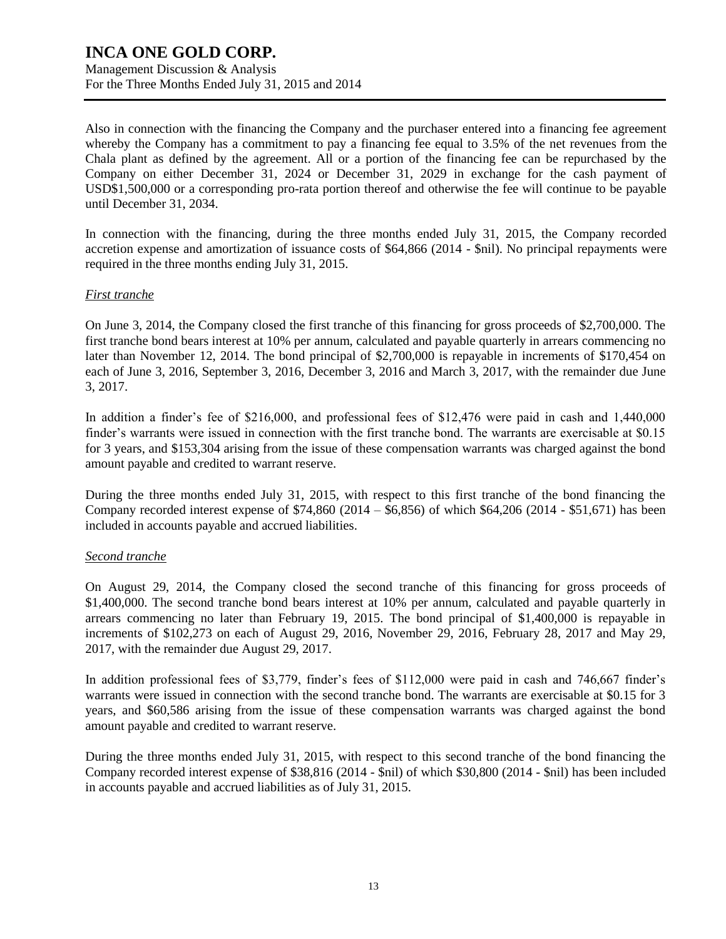Management Discussion & Analysis For the Three Months Ended July 31, 2015 and 2014

Also in connection with the financing the Company and the purchaser entered into a financing fee agreement whereby the Company has a commitment to pay a financing fee equal to 3.5% of the net revenues from the Chala plant as defined by the agreement. All or a portion of the financing fee can be repurchased by the Company on either December 31, 2024 or December 31, 2029 in exchange for the cash payment of USD\$1,500,000 or a corresponding pro-rata portion thereof and otherwise the fee will continue to be payable until December 31, 2034.

In connection with the financing, during the three months ended July 31, 2015, the Company recorded accretion expense and amortization of issuance costs of \$64,866 (2014 - \$nil). No principal repayments were required in the three months ending July 31, 2015.

### *First tranche*

On June 3, 2014, the Company closed the first tranche of this financing for gross proceeds of \$2,700,000. The first tranche bond bears interest at 10% per annum, calculated and payable quarterly in arrears commencing no later than November 12, 2014. The bond principal of \$2,700,000 is repayable in increments of \$170,454 on each of June 3, 2016, September 3, 2016, December 3, 2016 and March 3, 2017, with the remainder due June 3, 2017.

In addition a finder's fee of \$216,000, and professional fees of \$12,476 were paid in cash and 1,440,000 finder's warrants were issued in connection with the first tranche bond. The warrants are exercisable at \$0.15 for 3 years, and \$153,304 arising from the issue of these compensation warrants was charged against the bond amount payable and credited to warrant reserve.

During the three months ended July 31, 2015, with respect to this first tranche of the bond financing the Company recorded interest expense of \$74,860 (2014 – \$6,856) of which \$64,206 (2014 - \$51,671) has been included in accounts payable and accrued liabilities.

### *Second tranche*

On August 29, 2014, the Company closed the second tranche of this financing for gross proceeds of \$1,400,000. The second tranche bond bears interest at 10% per annum, calculated and payable quarterly in arrears commencing no later than February 19, 2015. The bond principal of \$1,400,000 is repayable in increments of \$102,273 on each of August 29, 2016, November 29, 2016, February 28, 2017 and May 29, 2017, with the remainder due August 29, 2017.

In addition professional fees of \$3,779, finder's fees of \$112,000 were paid in cash and 746,667 finder's warrants were issued in connection with the second tranche bond. The warrants are exercisable at \$0.15 for 3 years, and \$60,586 arising from the issue of these compensation warrants was charged against the bond amount payable and credited to warrant reserve.

During the three months ended July 31, 2015, with respect to this second tranche of the bond financing the Company recorded interest expense of \$38,816 (2014 - \$nil) of which \$30,800 (2014 - \$nil) has been included in accounts payable and accrued liabilities as of July 31, 2015.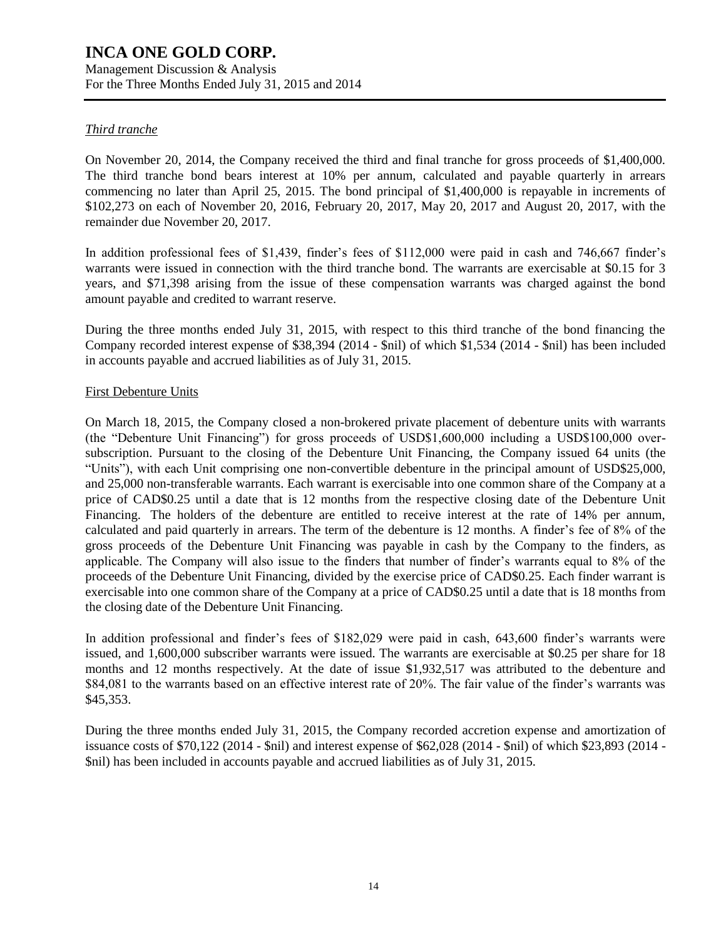Management Discussion & Analysis For the Three Months Ended July 31, 2015 and 2014

## *Third tranche*

On November 20, 2014, the Company received the third and final tranche for gross proceeds of \$1,400,000. The third tranche bond bears interest at 10% per annum, calculated and payable quarterly in arrears commencing no later than April 25, 2015. The bond principal of \$1,400,000 is repayable in increments of \$102,273 on each of November 20, 2016, February 20, 2017, May 20, 2017 and August 20, 2017, with the remainder due November 20, 2017.

In addition professional fees of \$1,439, finder's fees of \$112,000 were paid in cash and 746,667 finder's warrants were issued in connection with the third tranche bond. The warrants are exercisable at \$0.15 for 3 years, and \$71,398 arising from the issue of these compensation warrants was charged against the bond amount payable and credited to warrant reserve.

During the three months ended July 31, 2015, with respect to this third tranche of the bond financing the Company recorded interest expense of \$38,394 (2014 - \$nil) of which \$1,534 (2014 - \$nil) has been included in accounts payable and accrued liabilities as of July 31, 2015.

### First Debenture Units

On March 18, 2015, the Company closed a non-brokered private placement of debenture units with warrants (the "Debenture Unit Financing") for gross proceeds of USD\$1,600,000 including a USD\$100,000 oversubscription. Pursuant to the closing of the Debenture Unit Financing, the Company issued 64 units (the "Units"), with each Unit comprising one non-convertible debenture in the principal amount of USD\$25,000, and 25,000 non-transferable warrants. Each warrant is exercisable into one common share of the Company at a price of CAD\$0.25 until a date that is 12 months from the respective closing date of the Debenture Unit Financing. The holders of the debenture are entitled to receive interest at the rate of 14% per annum, calculated and paid quarterly in arrears. The term of the debenture is 12 months. A finder's fee of 8% of the gross proceeds of the Debenture Unit Financing was payable in cash by the Company to the finders, as applicable. The Company will also issue to the finders that number of finder's warrants equal to 8% of the proceeds of the Debenture Unit Financing, divided by the exercise price of CAD\$0.25. Each finder warrant is exercisable into one common share of the Company at a price of CAD\$0.25 until a date that is 18 months from the closing date of the Debenture Unit Financing.

In addition professional and finder's fees of \$182,029 were paid in cash, 643,600 finder's warrants were issued, and 1,600,000 subscriber warrants were issued. The warrants are exercisable at \$0.25 per share for 18 months and 12 months respectively. At the date of issue \$1,932,517 was attributed to the debenture and \$84,081 to the warrants based on an effective interest rate of 20%. The fair value of the finder's warrants was \$45,353.

During the three months ended July 31, 2015, the Company recorded accretion expense and amortization of issuance costs of \$70,122 (2014 - \$nil) and interest expense of \$62,028 (2014 - \$nil) of which \$23,893 (2014 - \$nil) has been included in accounts payable and accrued liabilities as of July 31, 2015.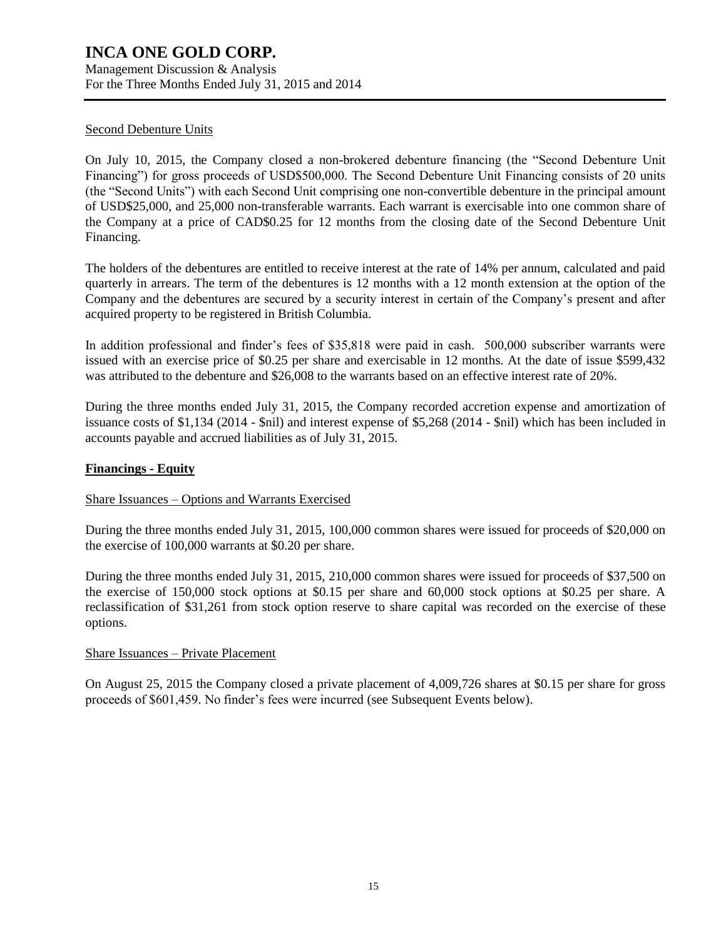Management Discussion & Analysis For the Three Months Ended July 31, 2015 and 2014

### Second Debenture Units

On July 10, 2015, the Company closed a non-brokered debenture financing (the "Second Debenture Unit Financing") for gross proceeds of USD\$500,000. The Second Debenture Unit Financing consists of 20 units (the "Second Units") with each Second Unit comprising one non-convertible debenture in the principal amount of USD\$25,000, and 25,000 non-transferable warrants. Each warrant is exercisable into one common share of the Company at a price of CAD\$0.25 for 12 months from the closing date of the Second Debenture Unit Financing.

The holders of the debentures are entitled to receive interest at the rate of 14% per annum, calculated and paid quarterly in arrears. The term of the debentures is 12 months with a 12 month extension at the option of the Company and the debentures are secured by a security interest in certain of the Company's present and after acquired property to be registered in British Columbia.

In addition professional and finder's fees of \$35,818 were paid in cash. 500,000 subscriber warrants were issued with an exercise price of \$0.25 per share and exercisable in 12 months. At the date of issue \$599,432 was attributed to the debenture and \$26,008 to the warrants based on an effective interest rate of 20%.

During the three months ended July 31, 2015, the Company recorded accretion expense and amortization of issuance costs of \$1,134 (2014 - \$nil) and interest expense of \$5,268 (2014 - \$nil) which has been included in accounts payable and accrued liabilities as of July 31, 2015.

### **Financings - Equity**

### Share Issuances – Options and Warrants Exercised

During the three months ended July 31, 2015, 100,000 common shares were issued for proceeds of \$20,000 on the exercise of 100,000 warrants at \$0.20 per share.

During the three months ended July 31, 2015, 210,000 common shares were issued for proceeds of \$37,500 on the exercise of 150,000 stock options at \$0.15 per share and 60,000 stock options at \$0.25 per share. A reclassification of \$31,261 from stock option reserve to share capital was recorded on the exercise of these options.

### Share Issuances – Private Placement

On August 25, 2015 the Company closed a private placement of 4,009,726 shares at \$0.15 per share for gross proceeds of \$601,459. No finder's fees were incurred (see Subsequent Events below).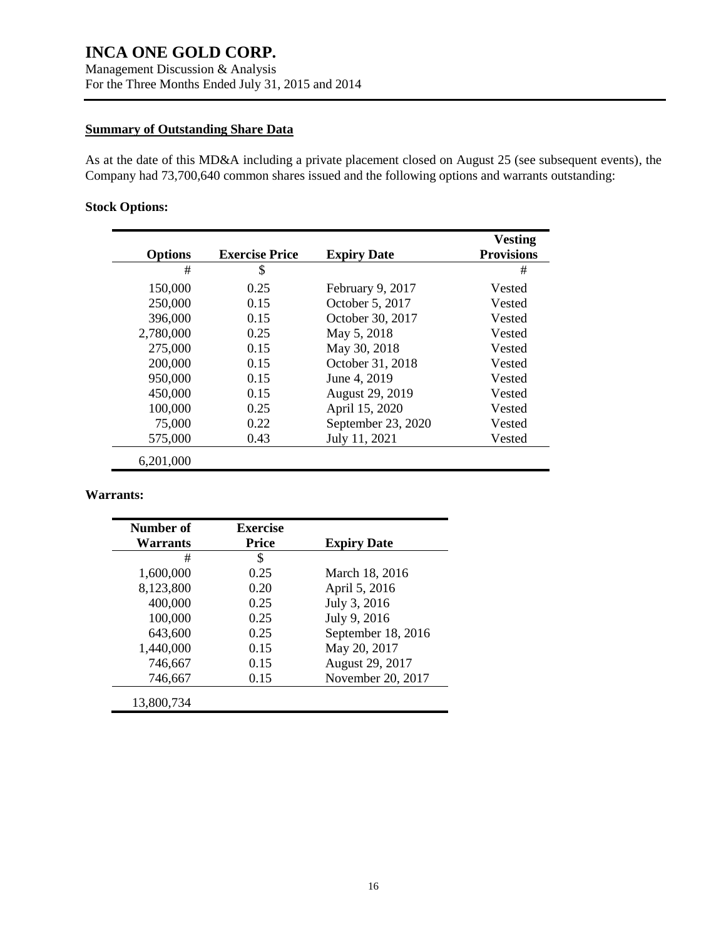### **Summary of Outstanding Share Data**

As at the date of this MD&A including a private placement closed on August 25 (see subsequent events), the Company had 73,700,640 common shares issued and the following options and warrants outstanding:

## **Stock Options:**

|                |                       |                    | <b>Vesting</b>    |
|----------------|-----------------------|--------------------|-------------------|
| <b>Options</b> | <b>Exercise Price</b> | <b>Expiry Date</b> | <b>Provisions</b> |
| #              | \$                    |                    | #                 |
| 150,000        | 0.25                  | February 9, 2017   | Vested            |
| 250,000        | 0.15                  | October 5, 2017    | Vested            |
| 396,000        | 0.15                  | October 30, 2017   | Vested            |
| 2,780,000      | 0.25                  | May 5, 2018        | Vested            |
| 275,000        | 0.15                  | May 30, 2018       | Vested            |
| 200,000        | 0.15                  | October 31, 2018   | Vested            |
| 950,000        | 0.15                  | June 4, 2019       | Vested            |
| 450,000        | 0.15                  | August 29, 2019    | Vested            |
| 100,000        | 0.25                  | April 15, 2020     | Vested            |
| 75,000         | 0.22                  | September 23, 2020 | Vested            |
| 575,000        | 0.43                  | July 11, 2021      | Vested            |
| 6,201,000      |                       |                    |                   |

### **Warrants:**

| Number of<br>Warrants | <b>Exercise</b><br><b>Price</b> | <b>Expiry Date</b> |
|-----------------------|---------------------------------|--------------------|
| #                     | \$                              |                    |
| 1,600,000             | 0.25                            | March 18, 2016     |
| 8,123,800             | 0.20                            | April 5, 2016      |
| 400,000               | 0.25                            | July 3, 2016       |
| 100,000               | 0.25                            | July 9, 2016       |
| 643,600               | 0.25                            | September 18, 2016 |
| 1,440,000             | 0.15                            | May 20, 2017       |
| 746,667               | 0.15                            | August 29, 2017    |
| 746,667               | 0.15                            | November 20, 2017  |
| 13,800,734            |                                 |                    |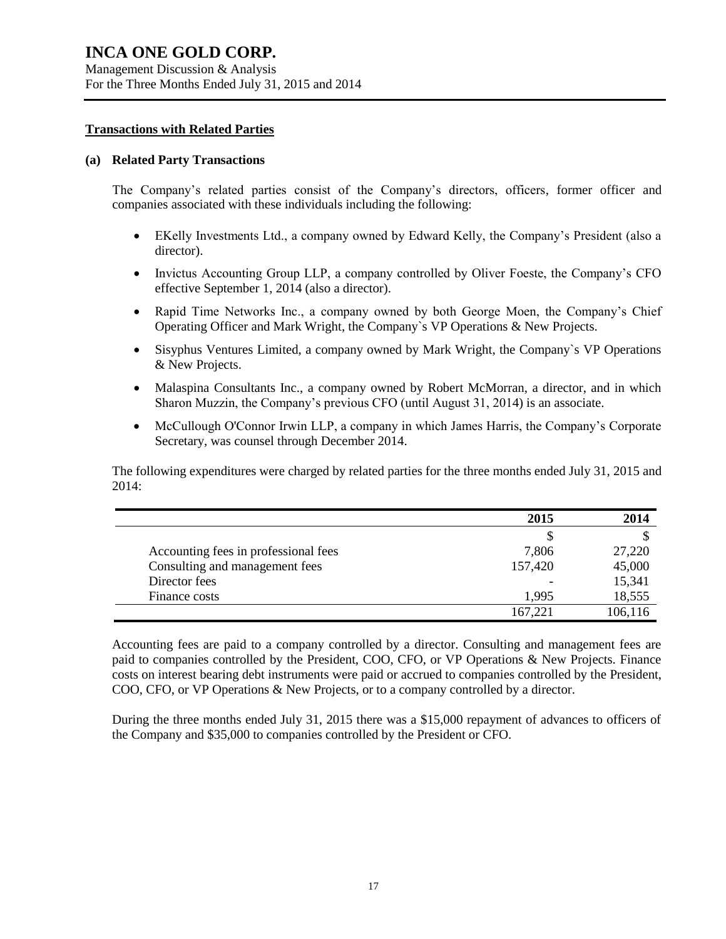Management Discussion & Analysis For the Three Months Ended July 31, 2015 and 2014

#### **Transactions with Related Parties**

#### **(a) Related Party Transactions**

The Company's related parties consist of the Company's directors, officers, former officer and companies associated with these individuals including the following:

- EKelly Investments Ltd., a company owned by Edward Kelly, the Company's President (also a director).
- Invictus Accounting Group LLP, a company controlled by Oliver Foeste, the Company's CFO effective September 1, 2014 (also a director).
- Rapid Time Networks Inc., a company owned by both George Moen, the Company's Chief Operating Officer and Mark Wright, the Company`s VP Operations & New Projects.
- Sisyphus Ventures Limited, a company owned by Mark Wright, the Company`s VP Operations & New Projects.
- Malaspina Consultants Inc., a company owned by Robert McMorran, a director, and in which Sharon Muzzin, the Company's previous CFO (until August 31, 2014) is an associate.
- McCullough O'Connor Irwin LLP, a company in which James Harris, the Company's Corporate Secretary, was counsel through December 2014.

The following expenditures were charged by related parties for the three months ended July 31, 2015 and  $2014$ 

|                                      | 2015    | 2014    |
|--------------------------------------|---------|---------|
|                                      |         |         |
| Accounting fees in professional fees | 7,806   | 27,220  |
| Consulting and management fees       | 157,420 | 45,000  |
| Director fees                        |         | 15,341  |
| Finance costs                        | 1.995   | 18,555  |
|                                      | 167,221 | 106,116 |

Accounting fees are paid to a company controlled by a director. Consulting and management fees are paid to companies controlled by the President, COO, CFO, or VP Operations & New Projects. Finance costs on interest bearing debt instruments were paid or accrued to companies controlled by the President, COO, CFO, or VP Operations & New Projects, or to a company controlled by a director.

During the three months ended July 31, 2015 there was a \$15,000 repayment of advances to officers of the Company and \$35,000 to companies controlled by the President or CFO.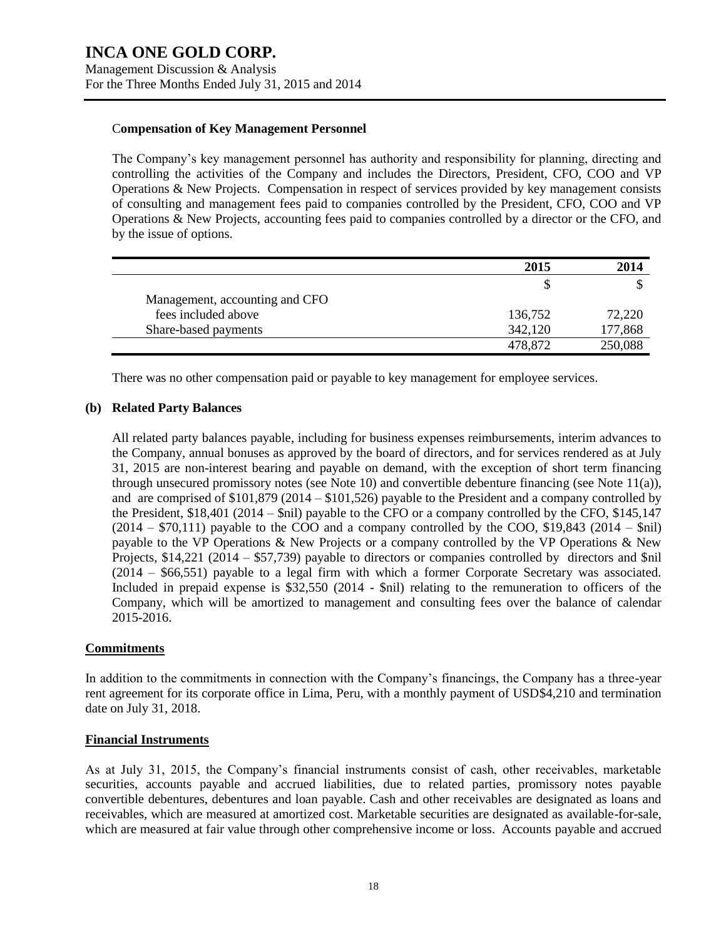### C**ompensation of Key Management Personnel**

The Company's key management personnel has authority and responsibility for planning, directing and controlling the activities of the Company and includes the Directors, President, CFO, COO and VP Operations & New Projects. Compensation in respect of services provided by key management consists of consulting and management fees paid to companies controlled by the President, CFO, COO and VP Operations & New Projects, accounting fees paid to companies controlled by a director or the CFO, and by the issue of options.

|                                | 2015    | 2014    |
|--------------------------------|---------|---------|
|                                |         |         |
| Management, accounting and CFO |         |         |
| fees included above            | 136,752 | 72,220  |
| Share-based payments           | 342,120 | 177,868 |
|                                | 478.872 | 250,088 |

There was no other compensation paid or payable to key management for employee services.

## **(b) Related Party Balances**

All related party balances payable, including for business expenses reimbursements, interim advances to the Company, annual bonuses as approved by the board of directors, and for services rendered as at July 31, 2015 are non-interest bearing and payable on demand, with the exception of short term financing through unsecured promissory notes (see Note 10) and convertible debenture financing (see Note 11(a)), and are comprised of \$101,879 (2014 – \$101,526) payable to the President and a company controlled by the President, \$18,401 (2014 – \$nil) payable to the CFO or a company controlled by the CFO, \$145,147  $(2014 - $70,111)$  payable to the COO and a company controlled by the COO, \$19,843 (2014 – \$nil) payable to the VP Operations & New Projects or a company controlled by the VP Operations & New Projects, \$14,221 (2014 – \$57,739) payable to directors or companies controlled by directors and \$nil (2014 – \$66,551) payable to a legal firm with which a former Corporate Secretary was associated. Included in prepaid expense is \$32,550 (2014 - \$nil) relating to the remuneration to officers of the Company, which will be amortized to management and consulting fees over the balance of calendar 2015-2016.

## **Commitments**

In addition to the commitments in connection with the Company's financings, the Company has a three-year rent agreement for its corporate office in Lima, Peru, with a monthly payment of USD\$4,210 and termination date on July 31, 2018.

### **Financial Instruments**

As at July 31, 2015, the Company's financial instruments consist of cash, other receivables, marketable securities, accounts payable and accrued liabilities, due to related parties, promissory notes payable convertible debentures, debentures and loan payable. Cash and other receivables are designated as loans and receivables, which are measured at amortized cost. Marketable securities are designated as available-for-sale, which are measured at fair value through other comprehensive income or loss. Accounts payable and accrued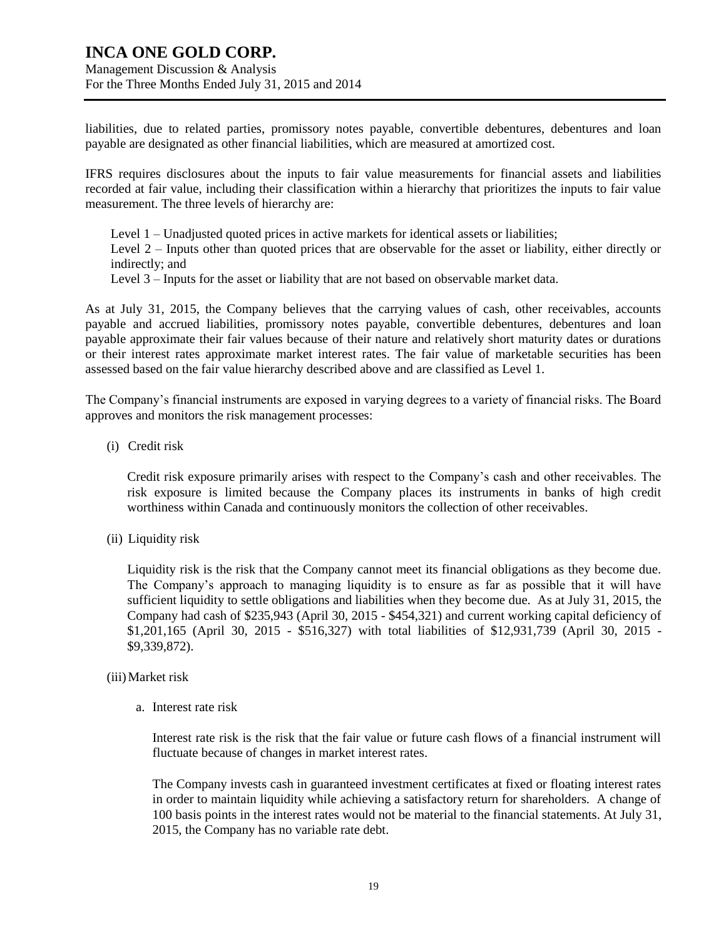Management Discussion & Analysis For the Three Months Ended July 31, 2015 and 2014

liabilities, due to related parties, promissory notes payable, convertible debentures, debentures and loan payable are designated as other financial liabilities, which are measured at amortized cost.

IFRS requires disclosures about the inputs to fair value measurements for financial assets and liabilities recorded at fair value, including their classification within a hierarchy that prioritizes the inputs to fair value measurement. The three levels of hierarchy are:

Level 1 – Unadjusted quoted prices in active markets for identical assets or liabilities; Level 2 – Inputs other than quoted prices that are observable for the asset or liability, either directly or indirectly; and

Level 3 – Inputs for the asset or liability that are not based on observable market data.

As at July 31, 2015, the Company believes that the carrying values of cash, other receivables, accounts payable and accrued liabilities, promissory notes payable, convertible debentures, debentures and loan payable approximate their fair values because of their nature and relatively short maturity dates or durations or their interest rates approximate market interest rates. The fair value of marketable securities has been assessed based on the fair value hierarchy described above and are classified as Level 1.

The Company's financial instruments are exposed in varying degrees to a variety of financial risks. The Board approves and monitors the risk management processes:

(i) Credit risk

Credit risk exposure primarily arises with respect to the Company's cash and other receivables. The risk exposure is limited because the Company places its instruments in banks of high credit worthiness within Canada and continuously monitors the collection of other receivables.

(ii) Liquidity risk

Liquidity risk is the risk that the Company cannot meet its financial obligations as they become due. The Company's approach to managing liquidity is to ensure as far as possible that it will have sufficient liquidity to settle obligations and liabilities when they become due. As at July 31, 2015, the Company had cash of \$235,943 (April 30, 2015 - \$454,321) and current working capital deficiency of \$1,201,165 (April 30, 2015 - \$516,327) with total liabilities of \$12,931,739 (April 30, 2015 - \$9,339,872).

### (iii)Market risk

a. Interest rate risk

Interest rate risk is the risk that the fair value or future cash flows of a financial instrument will fluctuate because of changes in market interest rates.

The Company invests cash in guaranteed investment certificates at fixed or floating interest rates in order to maintain liquidity while achieving a satisfactory return for shareholders. A change of 100 basis points in the interest rates would not be material to the financial statements. At July 31, 2015, the Company has no variable rate debt.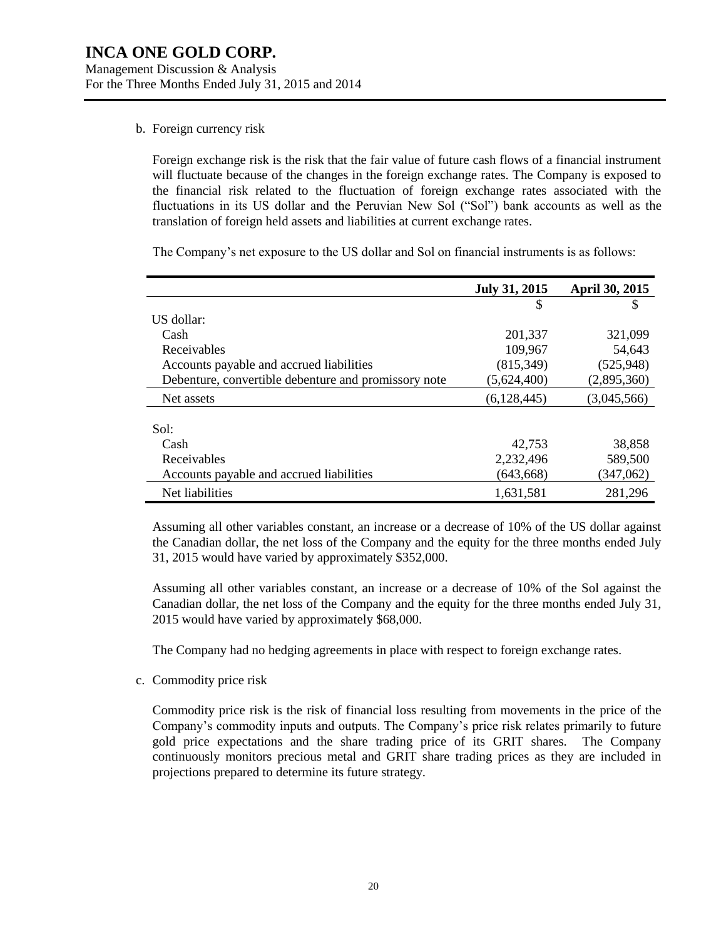#### b. Foreign currency risk

Foreign exchange risk is the risk that the fair value of future cash flows of a financial instrument will fluctuate because of the changes in the foreign exchange rates. The Company is exposed to the financial risk related to the fluctuation of foreign exchange rates associated with the fluctuations in its US dollar and the Peruvian New Sol ("Sol") bank accounts as well as the translation of foreign held assets and liabilities at current exchange rates.

The Company's net exposure to the US dollar and Sol on financial instruments is as follows:

|                                                      | <b>July 31, 2015</b> | <b>April 30, 2015</b> |
|------------------------------------------------------|----------------------|-----------------------|
|                                                      | S                    | \$                    |
| US dollar:                                           |                      |                       |
| Cash                                                 | 201,337              | 321,099               |
| Receivables                                          | 109,967              | 54,643                |
| Accounts payable and accrued liabilities             | (815, 349)           | (525,948)             |
| Debenture, convertible debenture and promissory note | (5,624,400)          | (2,895,360)           |
| Net assets                                           | (6,128,445)          | (3,045,566)           |
|                                                      |                      |                       |
| Sol:                                                 |                      |                       |
| Cash                                                 | 42.753               | 38.858                |
| Receivables                                          | 2,232,496            | 589,500               |
| Accounts payable and accrued liabilities             | (643, 668)           | (347,062)             |
| Net liabilities                                      | 1,631,581            | 281,296               |

Assuming all other variables constant, an increase or a decrease of 10% of the US dollar against the Canadian dollar, the net loss of the Company and the equity for the three months ended July 31, 2015 would have varied by approximately \$352,000.

Assuming all other variables constant, an increase or a decrease of 10% of the Sol against the Canadian dollar, the net loss of the Company and the equity for the three months ended July 31, 2015 would have varied by approximately \$68,000.

The Company had no hedging agreements in place with respect to foreign exchange rates.

c. Commodity price risk

Commodity price risk is the risk of financial loss resulting from movements in the price of the Company's commodity inputs and outputs. The Company's price risk relates primarily to future gold price expectations and the share trading price of its GRIT shares. The Company continuously monitors precious metal and GRIT share trading prices as they are included in projections prepared to determine its future strategy.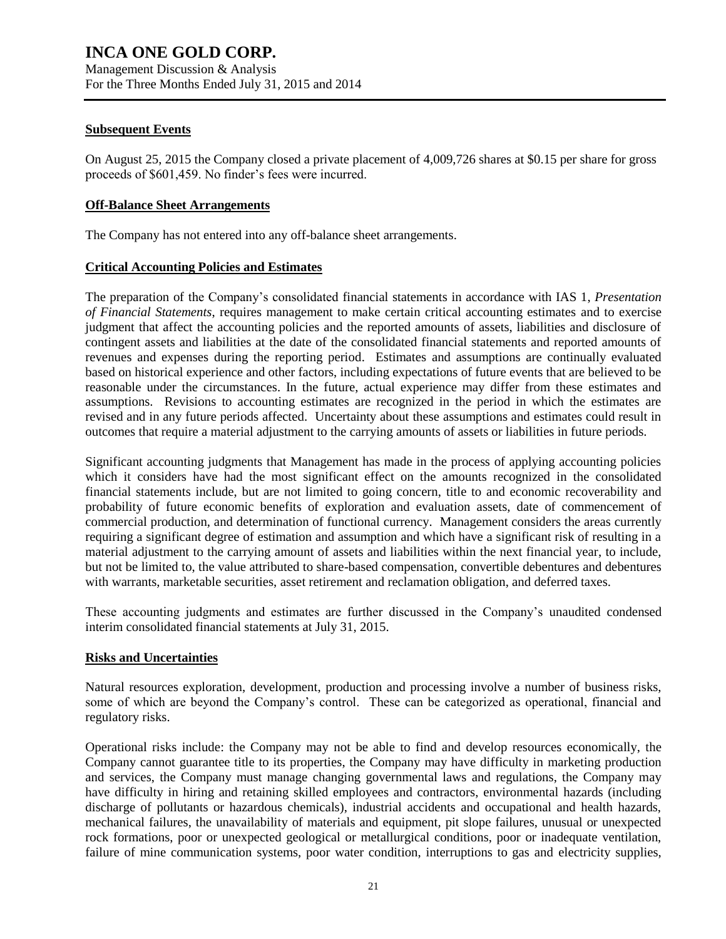### **Subsequent Events**

On August 25, 2015 the Company closed a private placement of 4,009,726 shares at \$0.15 per share for gross proceeds of \$601,459. No finder's fees were incurred.

### **Off-Balance Sheet Arrangements**

The Company has not entered into any off-balance sheet arrangements.

## **Critical Accounting Policies and Estimates**

The preparation of the Company's consolidated financial statements in accordance with IAS 1, *Presentation of Financial Statements*, requires management to make certain critical accounting estimates and to exercise judgment that affect the accounting policies and the reported amounts of assets, liabilities and disclosure of contingent assets and liabilities at the date of the consolidated financial statements and reported amounts of revenues and expenses during the reporting period. Estimates and assumptions are continually evaluated based on historical experience and other factors, including expectations of future events that are believed to be reasonable under the circumstances. In the future, actual experience may differ from these estimates and assumptions. Revisions to accounting estimates are recognized in the period in which the estimates are revised and in any future periods affected. Uncertainty about these assumptions and estimates could result in outcomes that require a material adjustment to the carrying amounts of assets or liabilities in future periods.

Significant accounting judgments that Management has made in the process of applying accounting policies which it considers have had the most significant effect on the amounts recognized in the consolidated financial statements include, but are not limited to going concern, title to and economic recoverability and probability of future economic benefits of exploration and evaluation assets, date of commencement of commercial production, and determination of functional currency. Management considers the areas currently requiring a significant degree of estimation and assumption and which have a significant risk of resulting in a material adjustment to the carrying amount of assets and liabilities within the next financial year, to include, but not be limited to, the value attributed to share-based compensation, convertible debentures and debentures with warrants, marketable securities, asset retirement and reclamation obligation, and deferred taxes.

These accounting judgments and estimates are further discussed in the Company's unaudited condensed interim consolidated financial statements at July 31, 2015.

### **Risks and Uncertainties**

Natural resources exploration, development, production and processing involve a number of business risks, some of which are beyond the Company's control. These can be categorized as operational, financial and regulatory risks.

Operational risks include: the Company may not be able to find and develop resources economically, the Company cannot guarantee title to its properties, the Company may have difficulty in marketing production and services, the Company must manage changing governmental laws and regulations, the Company may have difficulty in hiring and retaining skilled employees and contractors, environmental hazards (including discharge of pollutants or hazardous chemicals), industrial accidents and occupational and health hazards, mechanical failures, the unavailability of materials and equipment, pit slope failures, unusual or unexpected rock formations, poor or unexpected geological or metallurgical conditions, poor or inadequate ventilation, failure of mine communication systems, poor water condition, interruptions to gas and electricity supplies,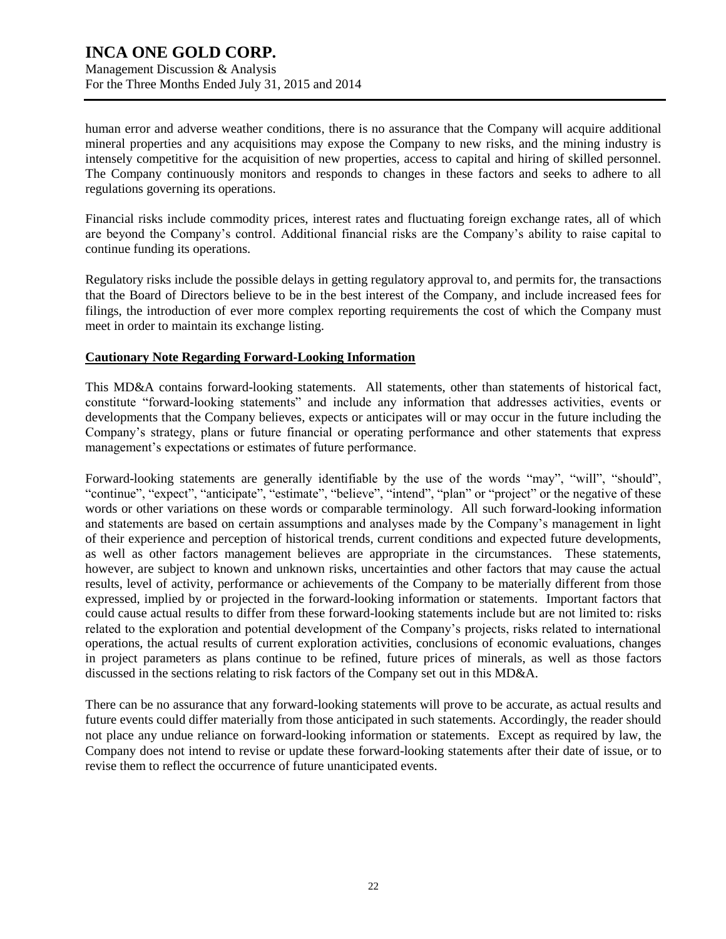Management Discussion & Analysis For the Three Months Ended July 31, 2015 and 2014

human error and adverse weather conditions, there is no assurance that the Company will acquire additional mineral properties and any acquisitions may expose the Company to new risks, and the mining industry is intensely competitive for the acquisition of new properties, access to capital and hiring of skilled personnel. The Company continuously monitors and responds to changes in these factors and seeks to adhere to all regulations governing its operations.

Financial risks include commodity prices, interest rates and fluctuating foreign exchange rates, all of which are beyond the Company's control. Additional financial risks are the Company's ability to raise capital to continue funding its operations.

Regulatory risks include the possible delays in getting regulatory approval to, and permits for, the transactions that the Board of Directors believe to be in the best interest of the Company, and include increased fees for filings, the introduction of ever more complex reporting requirements the cost of which the Company must meet in order to maintain its exchange listing.

### **Cautionary Note Regarding Forward-Looking Information**

This MD&A contains forward-looking statements. All statements, other than statements of historical fact, constitute "forward-looking statements" and include any information that addresses activities, events or developments that the Company believes, expects or anticipates will or may occur in the future including the Company's strategy, plans or future financial or operating performance and other statements that express management's expectations or estimates of future performance.

Forward-looking statements are generally identifiable by the use of the words "may", "will", "should", "continue", "expect", "anticipate", "estimate", "believe", "intend", "plan" or "project" or the negative of these words or other variations on these words or comparable terminology. All such forward-looking information and statements are based on certain assumptions and analyses made by the Company's management in light of their experience and perception of historical trends, current conditions and expected future developments, as well as other factors management believes are appropriate in the circumstances. These statements, however, are subject to known and unknown risks, uncertainties and other factors that may cause the actual results, level of activity, performance or achievements of the Company to be materially different from those expressed, implied by or projected in the forward-looking information or statements. Important factors that could cause actual results to differ from these forward-looking statements include but are not limited to: risks related to the exploration and potential development of the Company's projects, risks related to international operations, the actual results of current exploration activities, conclusions of economic evaluations, changes in project parameters as plans continue to be refined, future prices of minerals, as well as those factors discussed in the sections relating to risk factors of the Company set out in this MD&A.

There can be no assurance that any forward-looking statements will prove to be accurate, as actual results and future events could differ materially from those anticipated in such statements. Accordingly, the reader should not place any undue reliance on forward-looking information or statements. Except as required by law, the Company does not intend to revise or update these forward-looking statements after their date of issue, or to revise them to reflect the occurrence of future unanticipated events.